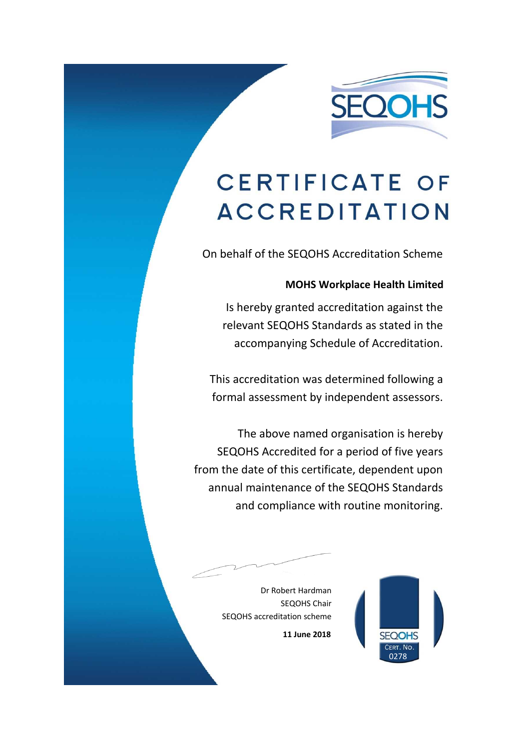

## **CERTIFICATE OF ACCREDITATION**

On behalf of the SEQOHS Accreditation Scheme

## **MOHS Workplace Health Limited**

Is hereby granted accreditation against the relevant SEQOHS Standards as stated in the accompanying Schedule of Accreditation.

This accreditation was determined following a formal assessment by independent assessors.

The above named organisation is hereby SEQOHS Accredited for a period of five years from the date of this certificate, dependent upon annual maintenance of the SEQOHS Standards and compliance with routine monitoring.

> Dr Robert Hardman SEQOHS Chair SEQOHS accreditation scheme



**11 June 2018**